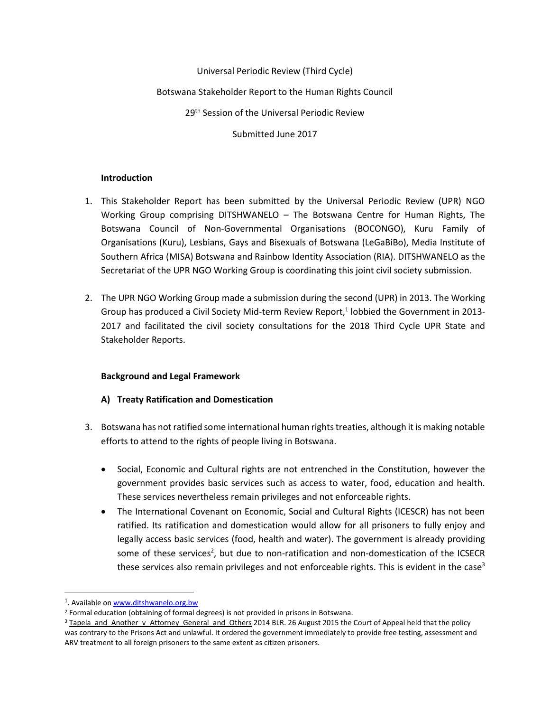Universal Periodic Review (Third Cycle)

Botswana Stakeholder Report to the Human Rights Council

29<sup>th</sup> Session of the Universal Periodic Review

Submitted June 2017

### **Introduction**

- 1. This Stakeholder Report has been submitted by the Universal Periodic Review (UPR) NGO Working Group comprising DITSHWANELO – The Botswana Centre for Human Rights, The Botswana Council of Non-Governmental Organisations (BOCONGO), Kuru Family of Organisations (Kuru), Lesbians, Gays and Bisexuals of Botswana (LeGaBiBo), Media Institute of Southern Africa (MISA) Botswana and Rainbow Identity Association (RIA). DITSHWANELO as the Secretariat of the UPR NGO Working Group is coordinating this joint civil society submission.
- 2. The UPR NGO Working Group made a submission during the second (UPR) in 2013. The Working Group has produced a Civil Society Mid-term Review Report, 1 lobbied the Government in 2013- 2017 and facilitated the civil society consultations for the 2018 Third Cycle UPR State and Stakeholder Reports.

### **Background and Legal Framework**

### **A) Treaty Ratification and Domestication**

- 3. Botswana has not ratified some international human rights treaties, although it is making notable efforts to attend to the rights of people living in Botswana.
	- Social, Economic and Cultural rights are not entrenched in the Constitution, however the government provides basic services such as access to water, food, education and health. These services nevertheless remain privileges and not enforceable rights.
	- The International Covenant on Economic, Social and Cultural Rights (ICESCR) has not been ratified. Its ratification and domestication would allow for all prisoners to fully enjoy and legally access basic services (food, health and water). The government is already providing some of these services<sup>2</sup>, but due to non-ratification and non-domestication of the ICSECR these services also remain privileges and not enforceable rights. This is evident in the case<sup>3</sup>

<sup>&</sup>lt;sup>1</sup>. Available o[n www.ditshwanelo.org.bw](http://www.ditshwanelo.org.bw/)

<sup>2</sup> Formal education (obtaining of formal degrees) is not provided in prisons in Botswana.

<sup>&</sup>lt;sup>3</sup> Tapela\_and\_Another\_v\_Attorney\_General\_and\_Others 2014 BLR. 26 August 2015 the Court of Appeal held that the policy was contrary to the Prisons Act and unlawful. It ordered the government immediately to provide free testing, assessment and ARV treatment to all foreign prisoners to the same extent as citizen prisoners.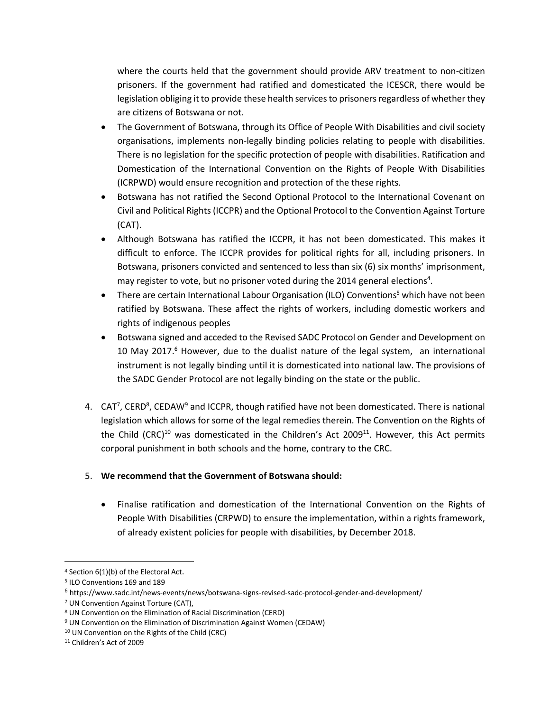where the courts held that the government should provide ARV treatment to non-citizen prisoners. If the government had ratified and domesticated the ICESCR, there would be legislation obliging it to provide these health services to prisoners regardless of whether they are citizens of Botswana or not.

- The Government of Botswana, through its Office of People With Disabilities and civil society organisations, implements non-legally binding policies relating to people with disabilities. There is no legislation for the specific protection of people with disabilities. Ratification and Domestication of the International Convention on the Rights of People With Disabilities (ICRPWD) would ensure recognition and protection of the these rights.
- Botswana has not ratified the Second Optional Protocol to the International Covenant on Civil and Political Rights (ICCPR) and the Optional Protocol to the Convention Against Torture (CAT).
- Although Botswana has ratified the ICCPR, it has not been domesticated. This makes it difficult to enforce. The ICCPR provides for political rights for all, including prisoners. In Botswana, prisoners convicted and sentenced to less than six (6) six months' imprisonment, may register to vote, but no prisoner voted during the 2014 general elections<sup>4</sup>.
- There are certain International Labour Organisation (ILO) Conventions<sup>5</sup> which have not been ratified by Botswana. These affect the rights of workers, including domestic workers and rights of indigenous peoples
- Botswana signed and acceded to the Revised SADC Protocol on Gender and Development on 10 May 2017.<sup>6</sup> However, due to the dualist nature of the legal system, an international instrument is not legally binding until it is domesticated into national law. The provisions of the SADC Gender Protocol are not legally binding on the state or the public.
- 4. CAT<sup>7</sup>, CERD<sup>8</sup>, CEDAW<sup>9</sup> and ICCPR, though ratified have not been domesticated. There is national legislation which allows for some of the legal remedies therein. The Convention on the Rights of the Child (CRC)<sup>10</sup> was domesticated in the Children's Act 2009<sup>11</sup>. However, this Act permits corporal punishment in both schools and the home, contrary to the CRC.

### 5. **We recommend that the Government of Botswana should:**

 Finalise ratification and domestication of the International Convention on the Rights of People With Disabilities (CRPWD) to ensure the implementation, within a rights framework, of already existent policies for people with disabilities, by December 2018.

<sup>4</sup> Section 6(1)(b) of the Electoral Act.

<sup>5</sup> ILO Conventions 169 and 189

<sup>6</sup> https://www.sadc.int/news-events/news/botswana-signs-revised-sadc-protocol-gender-and-development/

<sup>7</sup> UN Convention Against Torture (CAT),

<sup>8</sup> UN Convention on the Elimination of Racial Discrimination (CERD)

<sup>9</sup> UN Convention on the Elimination of Discrimination Against Women (CEDAW)

<sup>10</sup> UN Convention on the Rights of the Child (CRC)

<sup>11</sup> Children's Act of 2009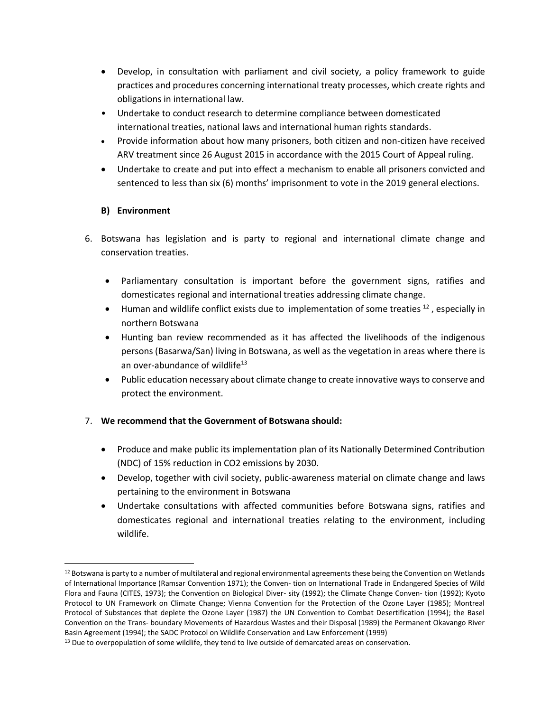- Develop, in consultation with parliament and civil society, a policy framework to guide practices and procedures concerning international treaty processes, which create rights and obligations in international law.
- Undertake to conduct research to determine compliance between domesticated international treaties, national laws and international human rights standards.
- Provide information about how many prisoners, both citizen and non-citizen have received ARV treatment since 26 August 2015 in accordance with the 2015 Court of Appeal ruling.
- Undertake to create and put into effect a mechanism to enable all prisoners convicted and sentenced to less than six (6) months' imprisonment to vote in the 2019 general elections.

# **B) Environment**

l

- 6. Botswana has legislation and is party to regional and international climate change and conservation treaties.
	- Parliamentary consultation is important before the government signs, ratifies and domesticates regional and international treaties addressing climate change.
	- $\bullet$  Human and wildlife conflict exists due to implementation of some treaties  $^{12}$ , especially in northern Botswana
	- Hunting ban review recommended as it has affected the livelihoods of the indigenous persons (Basarwa/San) living in Botswana, as well as the vegetation in areas where there is an over-abundance of wildlife $13$
	- Public education necessary about climate change to create innovative ways to conserve and protect the environment.

- Produce and make public its implementation plan of its Nationally Determined Contribution (NDC) of 15% reduction in CO2 emissions by 2030.
- Develop, together with civil society, public-awareness material on climate change and laws pertaining to the environment in Botswana
- Undertake consultations with affected communities before Botswana signs, ratifies and domesticates regional and international treaties relating to the environment, including wildlife.

<sup>&</sup>lt;sup>12</sup> Botswana is party to a number of multilateral and regional environmental agreements these being the Convention on Wetlands of International Importance (Ramsar Convention 1971); the Conven- tion on International Trade in Endangered Species of Wild Flora and Fauna (CITES, 1973); the Convention on Biological Diver- sity (1992); the Climate Change Conven- tion (1992); Kyoto Protocol to UN Framework on Climate Change; Vienna Convention for the Protection of the Ozone Layer (1985); Montreal Protocol of Substances that deplete the Ozone Layer (1987) the UN Convention to Combat Desertification (1994); the Basel Convention on the Trans- boundary Movements of Hazardous Wastes and their Disposal (1989) the Permanent Okavango River Basin Agreement (1994); the SADC Protocol on Wildlife Conservation and Law Enforcement (1999)

<sup>&</sup>lt;sup>13</sup> Due to overpopulation of some wildlife, they tend to live outside of demarcated areas on conservation.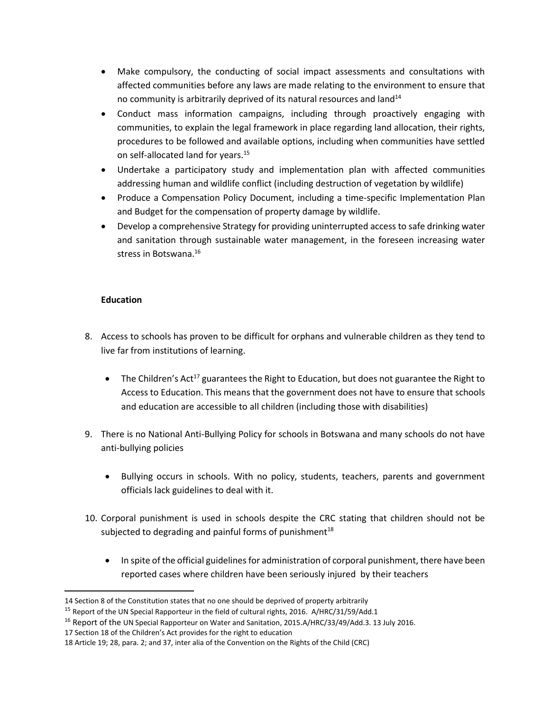- Make compulsory, the conducting of social impact assessments and consultations with affected communities before any laws are made relating to the environment to ensure that no community is arbitrarily deprived of its natural resources and land $14$
- Conduct mass information campaigns, including through proactively engaging with communities, to explain the legal framework in place regarding land allocation, their rights, procedures to be followed and available options, including when communities have settled on self-allocated land for years.<sup>15</sup>
- Undertake a participatory study and implementation plan with affected communities addressing human and wildlife conflict (including destruction of vegetation by wildlife)
- Produce a Compensation Policy Document, including a time-specific Implementation Plan and Budget for the compensation of property damage by wildlife.
- Develop a comprehensive Strategy for providing uninterrupted access to safe drinking water and sanitation through sustainable water management, in the foreseen increasing water stress in Botswana. 16

# **Education**

- 8. Access to schools has proven to be difficult for orphans and vulnerable children as they tend to live far from institutions of learning.
	- The Children's Act<sup>17</sup> guarantees the Right to Education, but does not guarantee the Right to Access to Education. This means that the government does not have to ensure that schools and education are accessible to all children (including those with disabilities)
- 9. There is no National Anti-Bullying Policy for schools in Botswana and many schools do not have anti-bullying policies
	- Bullying occurs in schools. With no policy, students, teachers, parents and government officials lack guidelines to deal with it.
- 10. Corporal punishment is used in schools despite the CRC stating that children should not be subjected to degrading and painful forms of punishment $18$ 
	- In spite of the official guidelines for administration of corporal punishment, there have been reported cases where children have been seriously injured by their teachers

 $\overline{\phantom{a}}$ 14 Section 8 of the Constitution states that no one should be deprived of property arbitrarily

<sup>&</sup>lt;sup>15</sup> Report of the UN Special Rapporteur in the field of cultural rights, 2016. A/HRC/31/59/Add.1

<sup>&</sup>lt;sup>16</sup> Report of the UN Special Rapporteur on Water and Sanitation, 2015.A/HRC/33/49/Add.3. 13 July 2016.

<sup>17</sup> Section 18 of the Children's Act provides for the right to education

<sup>18</sup> Article 19; 28, para. 2; and 37, inter alia of the Convention on the Rights of the Child (CRC)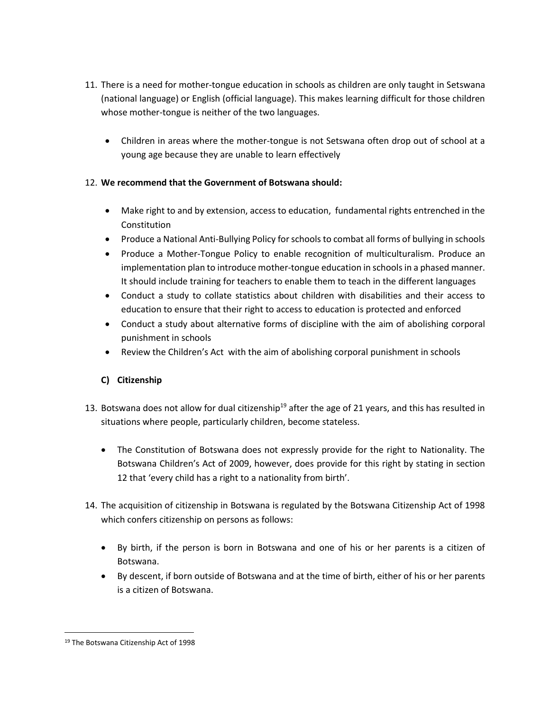- 11. There is a need for mother-tongue education in schools as children are only taught in Setswana (national language) or English (official language). This makes learning difficult for those children whose mother-tongue is neither of the two languages.
	- Children in areas where the mother-tongue is not Setswana often drop out of school at a young age because they are unable to learn effectively

- Make right to and by extension, access to education, fundamental rights entrenched in the Constitution
- Produce a National Anti-Bullying Policy for schools to combat all forms of bullying in schools
- Produce a Mother-Tongue Policy to enable recognition of multiculturalism. Produce an implementation plan to introduce mother-tongue education in schools in a phased manner. It should include training for teachers to enable them to teach in the different languages
- Conduct a study to collate statistics about children with disabilities and their access to education to ensure that their right to access to education is protected and enforced
- Conduct a study about alternative forms of discipline with the aim of abolishing corporal punishment in schools
- Review the Children's Act with the aim of abolishing corporal punishment in schools

### **C) Citizenship**

- 13. Botswana does not allow for dual citizenship<sup>19</sup> after the age of 21 years, and this has resulted in situations where people, particularly children, become stateless.
	- The Constitution of Botswana does not expressly provide for the right to Nationality. The Botswana Children's Act of 2009, however, does provide for this right by stating in section 12 that 'every child has a right to a nationality from birth'.
- 14. The acquisition of citizenship in Botswana is regulated by the Botswana Citizenship Act of 1998 which confers citizenship on persons as follows:
	- By birth, if the person is born in Botswana and one of his or her parents is a citizen of Botswana.
	- By descent, if born outside of Botswana and at the time of birth, either of his or her parents is a citizen of Botswana.

 $\overline{a}$ 

<sup>19</sup> The Botswana Citizenship Act of 1998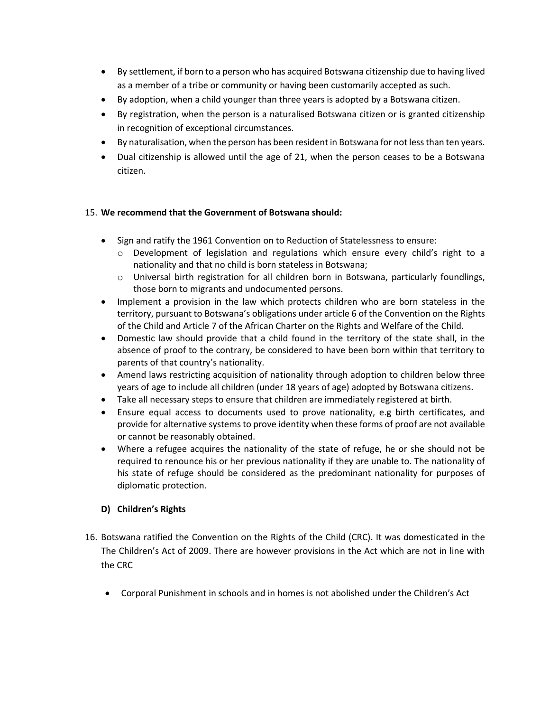- By settlement, if born to a person who has acquired Botswana citizenship due to having lived as a member of a tribe or community or having been customarily accepted as such.
- By adoption, when a child younger than three years is adopted by a Botswana citizen.
- By registration, when the person is a naturalised Botswana citizen or is granted citizenship in recognition of exceptional circumstances.
- By naturalisation, when the person has been resident in Botswana for not less than ten years.
- Dual citizenship is allowed until the age of 21, when the person ceases to be a Botswana citizen.

- Sign and ratify the 1961 Convention on to Reduction of Statelessness to ensure:
	- $\circ$  Development of legislation and regulations which ensure every child's right to a nationality and that no child is born stateless in Botswana;
	- o Universal birth registration for all children born in Botswana, particularly foundlings, those born to migrants and undocumented persons.
- Implement a provision in the law which protects children who are born stateless in the territory, pursuant to Botswana's obligations under article 6 of the Convention on the Rights of the Child and Article 7 of the African Charter on the Rights and Welfare of the Child.
- Domestic law should provide that a child found in the territory of the state shall, in the absence of proof to the contrary, be considered to have been born within that territory to parents of that country's nationality.
- Amend laws restricting acquisition of nationality through adoption to children below three years of age to include all children (under 18 years of age) adopted by Botswana citizens.
- Take all necessary steps to ensure that children are immediately registered at birth.
- Ensure equal access to documents used to prove nationality, e.g birth certificates, and provide for alternative systems to prove identity when these forms of proof are not available or cannot be reasonably obtained.
- Where a refugee acquires the nationality of the state of refuge, he or she should not be required to renounce his or her previous nationality if they are unable to. The nationality of his state of refuge should be considered as the predominant nationality for purposes of diplomatic protection.

# **D) Children's Rights**

- 16. Botswana ratified the Convention on the Rights of the Child (CRC). It was domesticated in the The Children's Act of 2009. There are however provisions in the Act which are not in line with the CRC
	- Corporal Punishment in schools and in homes is not abolished under the Children's Act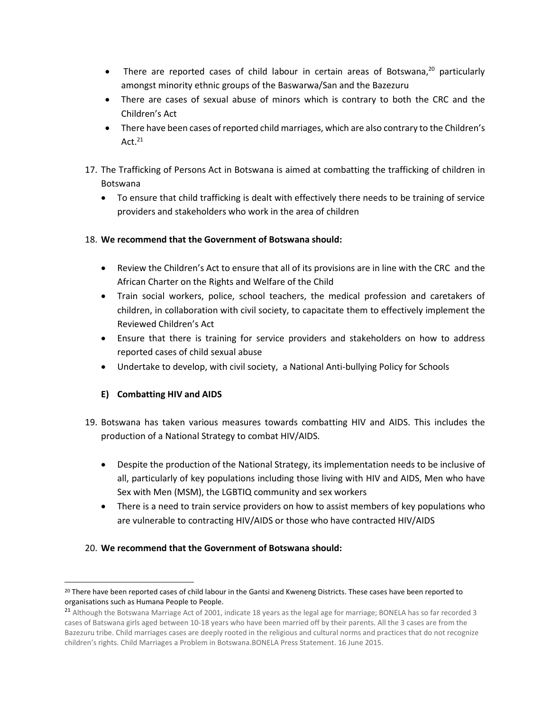- There are reported cases of child labour in certain areas of Botswana,<sup>20</sup> particularly amongst minority ethnic groups of the Baswarwa/San and the Bazezuru
- There are cases of sexual abuse of minors which is contrary to both the CRC and the Children's Act
- There have been cases of reported child marriages, which are also contrary to the Children's Act. $^{21}$
- 17. The Trafficking of Persons Act in Botswana is aimed at combatting the trafficking of children in Botswana
	- To ensure that child trafficking is dealt with effectively there needs to be training of service providers and stakeholders who work in the area of children

- Review the Children's Act to ensure that all of its provisions are in line with the CRC and the African Charter on the Rights and Welfare of the Child
- Train social workers, police, school teachers, the medical profession and caretakers of children, in collaboration with civil society, to capacitate them to effectively implement the Reviewed Children's Act
- Ensure that there is training for service providers and stakeholders on how to address reported cases of child sexual abuse
- Undertake to develop, with civil society, a National Anti-bullying Policy for Schools

# **E) Combatting HIV and AIDS**

 $\overline{\phantom{a}}$ 

- 19. Botswana has taken various measures towards combatting HIV and AIDS. This includes the production of a National Strategy to combat HIV/AIDS.
	- Despite the production of the National Strategy, its implementation needs to be inclusive of all, particularly of key populations including those living with HIV and AIDS, Men who have Sex with Men (MSM), the LGBTIQ community and sex workers
	- There is a need to train service providers on how to assist members of key populations who are vulnerable to contracting HIV/AIDS or those who have contracted HIV/AIDS

<sup>&</sup>lt;sup>20</sup> There have been reported cases of child labour in the Gantsi and Kweneng Districts. These cases have been reported to organisations such as Humana People to People.

<sup>&</sup>lt;sup>21</sup> Although the Botswana Marriage Act of 2001, indicate 18 years as the legal age for marriage; BONELA has so far recorded 3 cases of Batswana girls aged between 10-18 years who have been married off by their parents. All the 3 cases are from the Bazezuru tribe. Child marriages cases are deeply rooted in the religious and cultural norms and practices that do not recognize children's rights. Child Marriages a Problem in Botswana.BONELA Press Statement. 16 June 2015.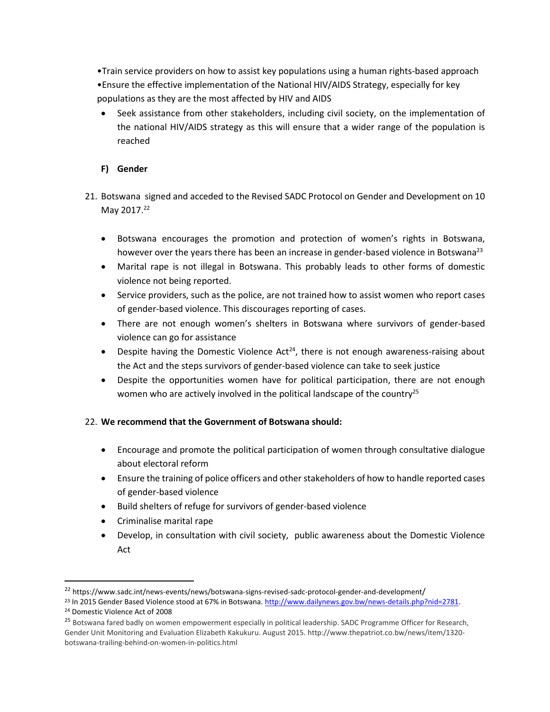•Train service providers on how to assist key populations using a human rights-based approach •Ensure the effective implementation of the National HIV/AIDS Strategy, especially for key populations as they are the most affected by HIV and AIDS

 Seek assistance from other stakeholders, including civil society, on the implementation of the national HIV/AIDS strategy as this will ensure that a wider range of the population is reached

### **F) Gender**

- 21. Botswana signed and acceded to the Revised SADC Protocol on Gender and Development on 10 May 2017.<sup>22</sup>
	- Botswana encourages the promotion and protection of women's rights in Botswana, however over the years there has been an increase in gender-based violence in Botswana<sup>23</sup>
	- Marital rape is not illegal in Botswana. This probably leads to other forms of domestic violence not being reported.
	- Service providers, such as the police, are not trained how to assist women who report cases of gender-based violence. This discourages reporting of cases.
	- There are not enough women's shelters in Botswana where survivors of gender-based violence can go for assistance
	- Despite having the Domestic Violence  $Act^{24}$ , there is not enough awareness-raising about the Act and the steps survivors of gender-based violence can take to seek justice
	- Despite the opportunities women have for political participation, there are not enough women who are actively involved in the political landscape of the country<sup>25</sup>

#### 22. **We recommend that the Government of Botswana should:**

- Encourage and promote the political participation of women through consultative dialogue about electoral reform
- Ensure the training of police officers and other stakeholders of how to handle reported cases of gender-based violence
- Build shelters of refuge for survivors of gender-based violence
- Criminalise marital rape

 $\overline{a}$ 

 Develop, in consultation with civil society, public awareness about the Domestic Violence Act

<sup>22</sup> https://www.sadc.int/news-events/news/botswana-signs-revised-sadc-protocol-gender-and-development/

<sup>23</sup> In 2015 Gender Based Violence stood at 67% in Botswana. [http://www.dailynews.gov.bw/news-details.php?nid=2781.](http://www.dailynews.gov.bw/news-details.php?nid=2781) <sup>24</sup> Domestic Violence Act of 2008

<sup>&</sup>lt;sup>25</sup> Botswana fared badly on women empowerment especially in political leadership. SADC Programme Officer for Research, Gender Unit Monitoring and Evaluation Elizabeth Kakukuru. August 2015. http://www.thepatriot.co.bw/news/item/1320 botswana-trailing-behind-on-women-in-politics.html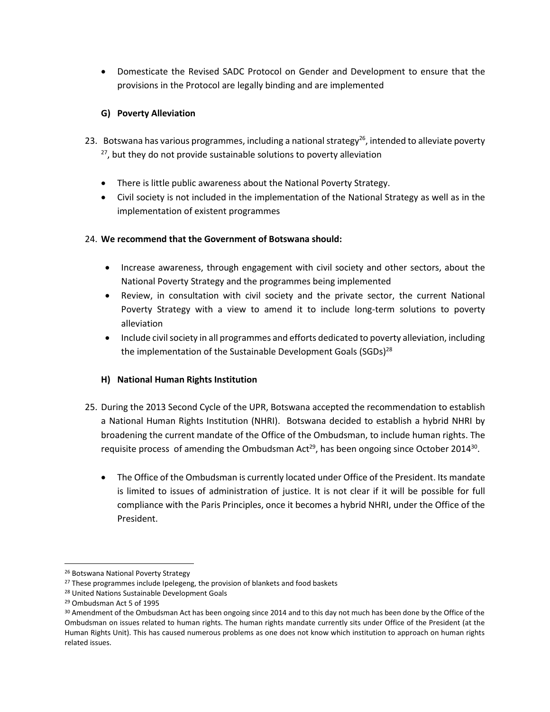Domesticate the Revised SADC Protocol on Gender and Development to ensure that the provisions in the Protocol are legally binding and are implemented

### **G) Poverty Alleviation**

- 23. Botswana has various programmes, including a national strategy<sup>26</sup>, intended to alleviate poverty  $27$ , but they do not provide sustainable solutions to poverty alleviation
	- There is little public awareness about the National Poverty Strategy.
	- Civil society is not included in the implementation of the National Strategy as well as in the implementation of existent programmes

### 24. **We recommend that the Government of Botswana should:**

- Increase awareness, through engagement with civil society and other sectors, about the National Poverty Strategy and the programmes being implemented
- Review, in consultation with civil society and the private sector, the current National Poverty Strategy with a view to amend it to include long-term solutions to poverty alleviation
- Include civil society in all programmes and efforts dedicated to poverty alleviation, including the implementation of the Sustainable Development Goals (SGDs)<sup>28</sup>

### **H) National Human Rights Institution**

- 25. During the 2013 Second Cycle of the UPR, Botswana accepted the recommendation to establish a National Human Rights Institution (NHRI). Botswana decided to establish a hybrid NHRI by broadening the current mandate of the Office of the Ombudsman, to include human rights. The requisite process of amending the Ombudsman Act<sup>29</sup>, has been ongoing since October 2014<sup>30</sup>.
	- The Office of the Ombudsman is currently located under Office of the President. Its mandate is limited to issues of administration of justice. It is not clear if it will be possible for full compliance with the Paris Principles, once it becomes a hybrid NHRI, under the Office of the President.

l

<sup>26</sup> Botswana National Poverty Strategy

<sup>&</sup>lt;sup>27</sup> These programmes include Ipelegeng, the provision of blankets and food baskets

<sup>28</sup> United Nations Sustainable Development Goals

<sup>29</sup> Ombudsman Act 5 of 1995

<sup>&</sup>lt;sup>30</sup> Amendment of the Ombudsman Act has been ongoing since 2014 and to this day not much has been done by the Office of the Ombudsman on issues related to human rights. The human rights mandate currently sits under Office of the President (at the Human Rights Unit). This has caused numerous problems as one does not know which institution to approach on human rights related issues.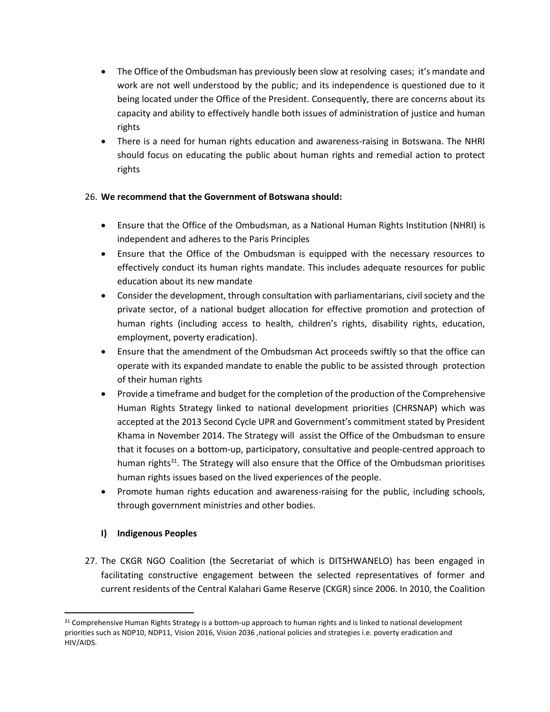- The Office of the Ombudsman has previously been slow at resolving cases; it's mandate and work are not well understood by the public; and its independence is questioned due to it being located under the Office of the President. Consequently, there are concerns about its capacity and ability to effectively handle both issues of administration of justice and human rights
- There is a need for human rights education and awareness-raising in Botswana. The NHRI should focus on educating the public about human rights and remedial action to protect rights

- Ensure that the Office of the Ombudsman, as a National Human Rights Institution (NHRI) is independent and adheres to the Paris Principles
- Ensure that the Office of the Ombudsman is equipped with the necessary resources to effectively conduct its human rights mandate. This includes adequate resources for public education about its new mandate
- Consider the development, through consultation with parliamentarians, civil society and the private sector, of a national budget allocation for effective promotion and protection of human rights (including access to health, children's rights, disability rights, education, employment, poverty eradication).
- Ensure that the amendment of the Ombudsman Act proceeds swiftly so that the office can operate with its expanded mandate to enable the public to be assisted through protection of their human rights
- Provide a timeframe and budget for the completion of the production of the Comprehensive Human Rights Strategy linked to national development priorities (CHRSNAP) which was accepted at the 2013 Second Cycle UPR and Government's commitment stated by President Khama in November 2014**.** The Strategy will assist the Office of the Ombudsman to ensure that it focuses on a bottom-up, participatory, consultative and people-centred approach to human rights<sup>31</sup>. The Strategy will also ensure that the Office of the Ombudsman prioritises human rights issues based on the lived experiences of the people.
- Promote human rights education and awareness-raising for the public, including schools, through government ministries and other bodies.

# **I) Indigenous Peoples**

 $\overline{\phantom{a}}$ 

27. The CKGR NGO Coalition (the Secretariat of which is DITSHWANELO) has been engaged in facilitating constructive engagement between the selected representatives of former and current residents of the Central Kalahari Game Reserve (CKGR) since 2006. In 2010, the Coalition

<sup>31</sup> Comprehensive Human Rights Strategy is a bottom-up approach to human rights and is linked to national development priorities such as NDP10, NDP11, Vision 2016, Vision 2036 ,national policies and strategies i.e. poverty eradication and HIV/AIDS.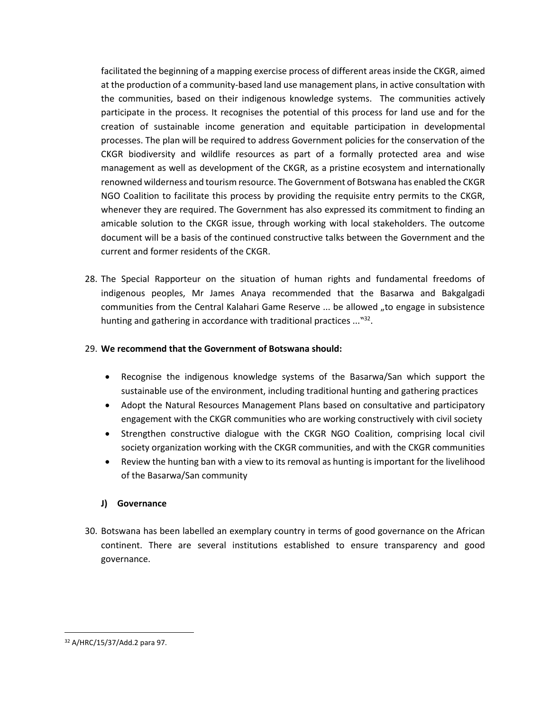facilitated the beginning of a mapping exercise process of different areas inside the CKGR, aimed at the production of a community-based land use management plans, in active consultation with the communities, based on their indigenous knowledge systems. The communities actively participate in the process. It recognises the potential of this process for land use and for the creation of sustainable income generation and equitable participation in developmental processes. The plan will be required to address Government policies for the conservation of the CKGR biodiversity and wildlife resources as part of a formally protected area and wise management as well as development of the CKGR, as a pristine ecosystem and internationally renowned wilderness and tourism resource. The Government of Botswana has enabled the CKGR NGO Coalition to facilitate this process by providing the requisite entry permits to the CKGR, whenever they are required. The Government has also expressed its commitment to finding an amicable solution to the CKGR issue, through working with local stakeholders. The outcome document will be a basis of the continued constructive talks between the Government and the current and former residents of the CKGR.

28. The Special Rapporteur on the situation of human rights and fundamental freedoms of indigenous peoples, Mr James Anaya recommended that the Basarwa and Bakgalgadi communities from the Central Kalahari Game Reserve ... be allowed "to engage in subsistence hunting and gathering in accordance with traditional practices ..."32.

#### 29. **We recommend that the Government of Botswana should:**

- Recognise the indigenous knowledge systems of the Basarwa/San which support the sustainable use of the environment, including traditional hunting and gathering practices
- Adopt the Natural Resources Management Plans based on consultative and participatory engagement with the CKGR communities who are working constructively with civil society
- Strengthen constructive dialogue with the CKGR NGO Coalition, comprising local civil society organization working with the CKGR communities, and with the CKGR communities
- Review the hunting ban with a view to its removal as hunting is important for the livelihood of the Basarwa/San community

### **J) Governance**

30. Botswana has been labelled an exemplary country in terms of good governance on the African continent. There are several institutions established to ensure transparency and good governance.

 $\overline{a}$ 

<sup>32</sup> A/HRC/15/37/Add.2 para 97.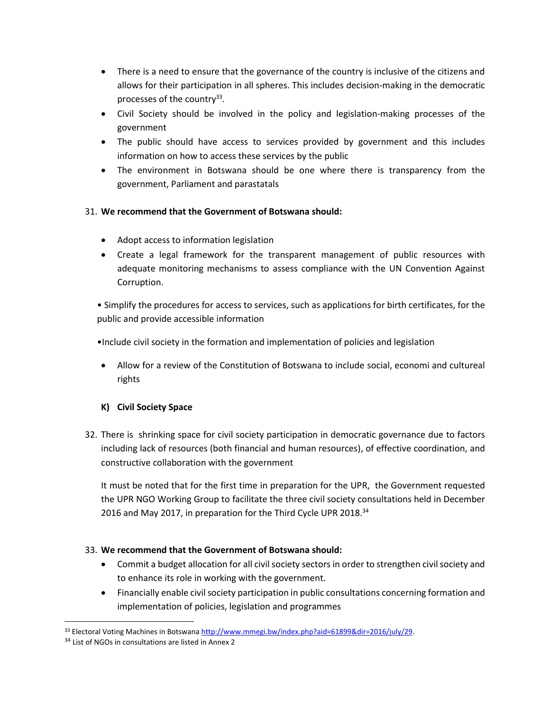- There is a need to ensure that the governance of the country is inclusive of the citizens and allows for their participation in all spheres. This includes decision-making in the democratic processes of the country<sup>33</sup>.
- Civil Society should be involved in the policy and legislation-making processes of the government
- The public should have access to services provided by government and this includes information on how to access these services by the public
- The environment in Botswana should be one where there is transparency from the government, Parliament and parastatals

- Adopt access to information legislation
- Create a legal framework for the transparent management of public resources with adequate monitoring mechanisms to assess compliance with the UN Convention Against Corruption.

• Simplify the procedures for access to services, such as applications for birth certificates, for the public and provide accessible information

•Include civil society in the formation and implementation of policies and legislation

 Allow for a review of the Constitution of Botswana to include social, economi and cultureal rights

# **K) Civil Society Space**

32. There is shrinking space for civil society participation in democratic governance due to factors including lack of resources (both financial and human resources), of effective coordination, and constructive collaboration with the government

It must be noted that for the first time in preparation for the UPR, the Government requested the UPR NGO Working Group to facilitate the three civil society consultations held in December 2016 and May 2017, in preparation for the Third Cycle UPR 2018.<sup>34</sup>

- Commit a budget allocation for all civil society sectors in order to strengthen civil society and to enhance its role in working with the government.
- Financially enable civil society participation in public consultations concerning formation and implementation of policies, legislation and programmes

 $\overline{\phantom{a}}$ 33 Electoral Voting Machines in Botswana http://www.mmegi.bw/index.php?aid=61899&dir=2016/july/29.

<sup>&</sup>lt;sup>34</sup> List of NGOs in consultations are listed in Annex 2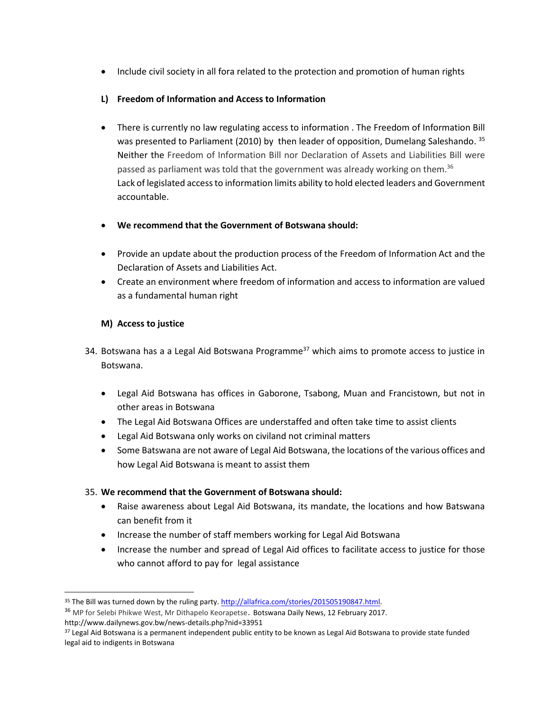• Include civil society in all fora related to the protection and promotion of human rights

# **L) Freedom of Information and Access to Information**

- There is currently no law regulating access to information . The Freedom of Information Bill was presented to Parliament (2010) by then leader of opposition, Dumelang Saleshando. <sup>35</sup> Neither the Freedom of Information Bill nor Declaration of Assets and Liabilities Bill were passed as parliament was told that the government was already working on them.<sup>36</sup> Lack of legislated access to information limits ability to hold elected leaders and Government accountable.
- **We recommend that the Government of Botswana should:**
- Provide an update about the production process of the Freedom of Information Act and the Declaration of Assets and Liabilities Act.
- Create an environment where freedom of information and access to information are valued as a fundamental human right

# **M) Access to justice**

- 34. Botswana has a a Legal Aid Botswana Programme<sup>37</sup> which aims to promote access to justice in Botswana.
	- Legal Aid Botswana has offices in Gaborone, Tsabong, Muan and Francistown, but not in other areas in Botswana
	- The Legal Aid Botswana Offices are understaffed and often take time to assist clients
	- Legal Aid Botswana only works on civiland not criminal matters
	- Some Batswana are not aware of Legal Aid Botswana, the locations of the various offices and how Legal Aid Botswana is meant to assist them

### 35. **We recommend that the Government of Botswana should:**

- Raise awareness about Legal Aid Botswana, its mandate, the locations and how Batswana can benefit from it
- Increase the number of staff members working for Legal Aid Botswana
- Increase the number and spread of Legal Aid offices to facilitate access to justice for those who cannot afford to pay for legal assistance

<sup>&</sup>lt;sup>35</sup> The Bill was turned down by the ruling party. http://allafrica.com/stories/201505190847.html.

<sup>&</sup>lt;sup>36</sup> MP for Selebi Phikwe West, Mr Dithapelo Keorapetse. Botswana Daily News, 12 February 2017.

http://www.dailynews.gov.bw/news-details.php?nid=33951

<sup>&</sup>lt;sup>37</sup> Legal Aid Botswana is a permanent independent public entity to be known as Legal Aid Botswana to provide state funded legal aid to indigents in Botswana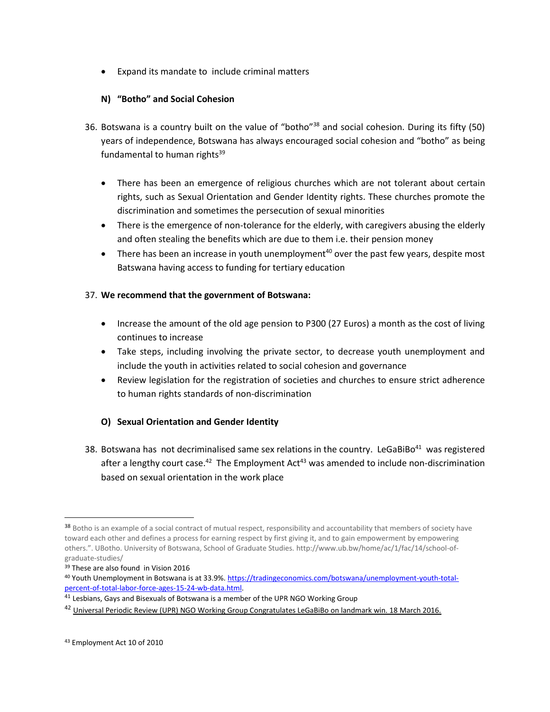Expand its mandate to include criminal matters

# **N) "Botho" and Social Cohesion**

- 36. Botswana is a country built on the value of "botho"<sup>38</sup> and social cohesion. During its fifty (50) years of independence, Botswana has always encouraged social cohesion and "botho" as being fundamental to human rights $39$ 
	- There has been an emergence of religious churches which are not tolerant about certain rights, such as Sexual Orientation and Gender Identity rights. These churches promote the discrimination and sometimes the persecution of sexual minorities
	- There is the emergence of non-tolerance for the elderly, with caregivers abusing the elderly and often stealing the benefits which are due to them i.e. their pension money
	- There has been an increase in youth unemployment<sup>40</sup> over the past few years, despite most Batswana having access to funding for tertiary education

### 37. **We recommend that the government of Botswana:**

- Increase the amount of the old age pension to P300 (27 Euros) a month as the cost of living continues to increase
- Take steps, including involving the private sector, to decrease youth unemployment and include the youth in activities related to social cohesion and governance
- Review legislation for the registration of societies and churches to ensure strict adherence to human rights standards of non-discrimination

### **O) Sexual Orientation and Gender Identity**

38. Botswana has not decriminalised same sex relations in the country. LeGaBiBo $41$  was registered after a lengthy court case.<sup>42</sup> The Employment Act<sup>43</sup> was amended to include non-discrimination based on sexual orientation in the work place

<sup>38</sup> Botho is an example of a social contract of mutual respect, responsibility and accountability that members of society have toward each other and defines a process for earning respect by first giving it, and to gain empowerment by empowering others.". UBotho. University of Botswana, School of Graduate Studies. http://www.ub.bw/home/ac/1/fac/14/school-ofgraduate-studies/

<sup>&</sup>lt;sup>39</sup> These are also found in Vision 2016

<sup>40</sup> Youth Unemployment in Botswana is at 33.9%[. https://tradingeconomics.com/botswana/unemployment-youth-total](https://tradingeconomics.com/botswana/unemployment-youth-total-percent-of-total-labor-force-ages-15-24-wb-data.html)[percent-of-total-labor-force-ages-15-24-wb-data.html.](https://tradingeconomics.com/botswana/unemployment-youth-total-percent-of-total-labor-force-ages-15-24-wb-data.html) 

 $41$  Lesbians, Gays and Bisexuals of Botswana is a member of the UPR NGO Working Group

<sup>&</sup>lt;sup>42</sup> Universal Periodic Review (UPR) NGO Working Group Congratulates LeGaBiBo on landmark win. 18 March 2016.